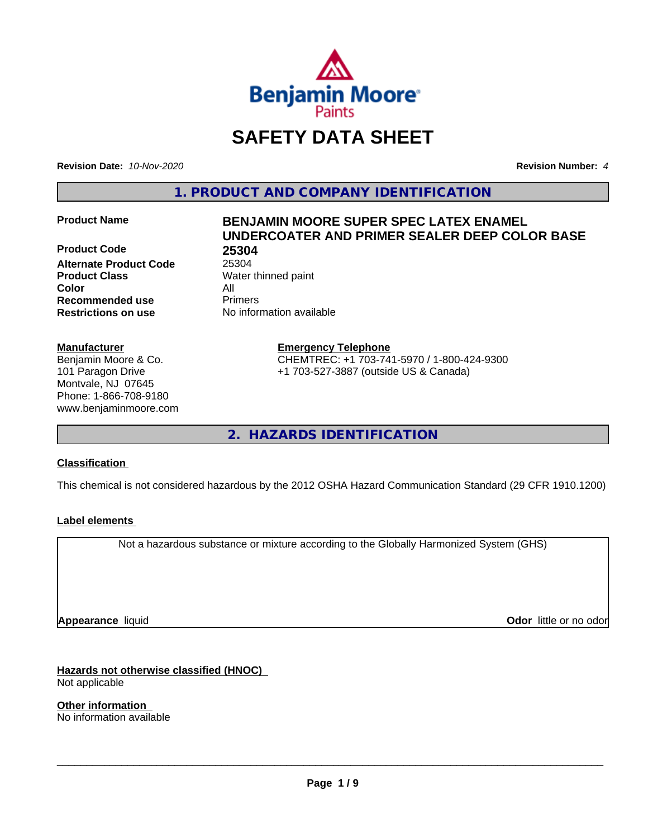

# **SAFETY DATA SHEET**

**Revision Date:** *10-Nov-2020* **Revision Number:** *4*

**1. PRODUCT AND COMPANY IDENTIFICATION**

**Product Code 68 25304**<br>**Alternate Product Code** 25304 **Alternate Product Code Product Class** Water thinned paint **Color** All **Recommended use** Primers **Restrictions on use** No information available

### **Manufacturer**

Benjamin Moore & Co. 101 Paragon Drive Montvale, NJ 07645 Phone: 1-866-708-9180 www.benjaminmoore.com

# **Product Name BENJAMIN MOORE SUPER SPEC LATEX ENAMEL UNDERCOATER AND PRIMER SEALER DEEP COLOR BASE**

**Emergency Telephone** CHEMTREC: +1 703-741-5970 / 1-800-424-9300 +1 703-527-3887 (outside US & Canada)

**2. HAZARDS IDENTIFICATION**

# **Classification**

This chemical is not considered hazardous by the 2012 OSHA Hazard Communication Standard (29 CFR 1910.1200)

# **Label elements**

Not a hazardous substance or mixture according to the Globally Harmonized System (GHS)

**Appearance** liquid

**Odor** little or no odor

**Hazards not otherwise classified (HNOC)** Not applicable

**Other information** No information available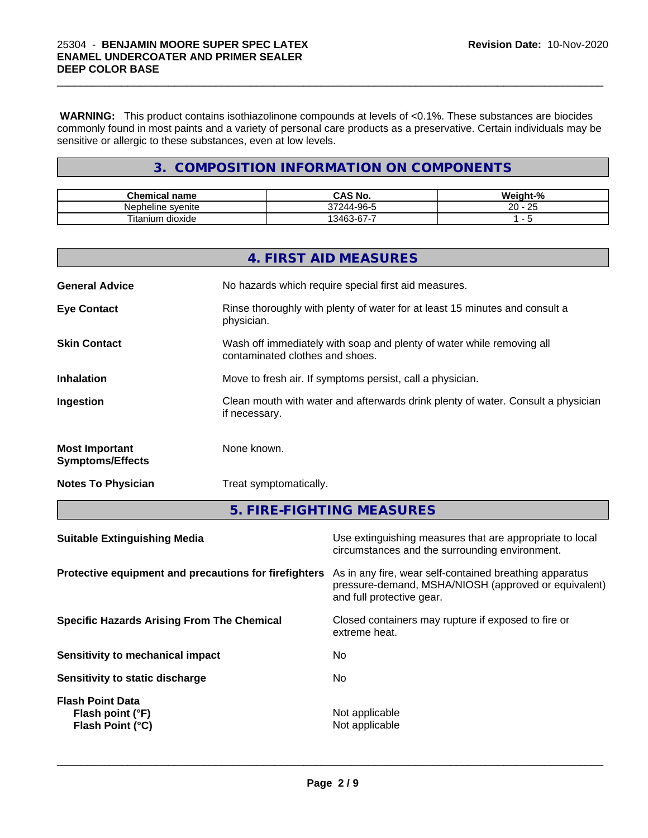#### 25304 - **BENJAMIN MOORE SUPER SPEC LATEX ENAMEL UNDERCOATER AND PRIMER SEALER DEEP COLOR BASE**

**WARNING:** This product contains isothiazolinone compounds at levels of <0.1%. These substances are biocides commonly found in most paints and a variety of personal care products as a preservative. Certain individuals may be sensitive or allergic to these substances, even at low levels.

 $\_$  ,  $\_$  ,  $\_$  ,  $\_$  ,  $\_$  ,  $\_$  ,  $\_$  ,  $\_$  ,  $\_$  ,  $\_$  ,  $\_$  ,  $\_$  ,  $\_$  ,  $\_$  ,  $\_$  ,  $\_$  ,  $\_$  ,  $\_$  ,  $\_$  ,  $\_$  ,  $\_$  ,  $\_$  ,  $\_$  ,  $\_$  ,  $\_$  ,  $\_$  ,  $\_$  ,  $\_$  ,  $\_$  ,  $\_$  ,  $\_$  ,  $\_$  ,  $\_$  ,  $\_$  ,  $\_$  ,  $\_$  ,  $\_$  ,

# **3. COMPOSITION INFORMATION ON COMPONENTS**

| Chemical<br>name              | $\sim$ 11<br>$\mathbf{a}$<br>NO.<br>unj.       | $\overline{\phantom{a}}$<br>.<br>veiant.<br>- 70                    |
|-------------------------------|------------------------------------------------|---------------------------------------------------------------------|
| svenite<br><b>Nepheline</b>   | -<br>റഭ<br>$\sim$ $\sim$<br>-ו גרי<br>л.,<br>o | $\sim$ $\sim$<br>$\sim$<br>$\overline{\phantom{a}}$<br>∠∪<br>$\sim$ |
| --<br>dioxide<br>⊺ıtan<br>um. | $\sim$<br>-<br>.346 <sup>o</sup><br>ີ          |                                                                     |

|                                                  | 4. FIRST AID MEASURES                                                                                    |
|--------------------------------------------------|----------------------------------------------------------------------------------------------------------|
| <b>General Advice</b>                            | No hazards which require special first aid measures.                                                     |
| <b>Eye Contact</b>                               | Rinse thoroughly with plenty of water for at least 15 minutes and consult a<br>physician.                |
| <b>Skin Contact</b>                              | Wash off immediately with soap and plenty of water while removing all<br>contaminated clothes and shoes. |
| <b>Inhalation</b>                                | Move to fresh air. If symptoms persist, call a physician.                                                |
| Ingestion                                        | Clean mouth with water and afterwards drink plenty of water. Consult a physician<br>if necessary.        |
| <b>Most Important</b><br><b>Symptoms/Effects</b> | None known.                                                                                              |
| <b>Notes To Physician</b>                        | Treat symptomatically.                                                                                   |

**5. FIRE-FIGHTING MEASURES**

| <b>Suitable Extinguishing Media</b>                             | Use extinguishing measures that are appropriate to local<br>circumstances and the surrounding environment.                                   |
|-----------------------------------------------------------------|----------------------------------------------------------------------------------------------------------------------------------------------|
| Protective equipment and precautions for firefighters           | As in any fire, wear self-contained breathing apparatus<br>pressure-demand, MSHA/NIOSH (approved or equivalent)<br>and full protective gear. |
| <b>Specific Hazards Arising From The Chemical</b>               | Closed containers may rupture if exposed to fire or<br>extreme heat.                                                                         |
| Sensitivity to mechanical impact                                | No                                                                                                                                           |
| Sensitivity to static discharge                                 | No                                                                                                                                           |
| <b>Flash Point Data</b><br>Flash point (°F)<br>Flash Point (°C) | Not applicable<br>Not applicable                                                                                                             |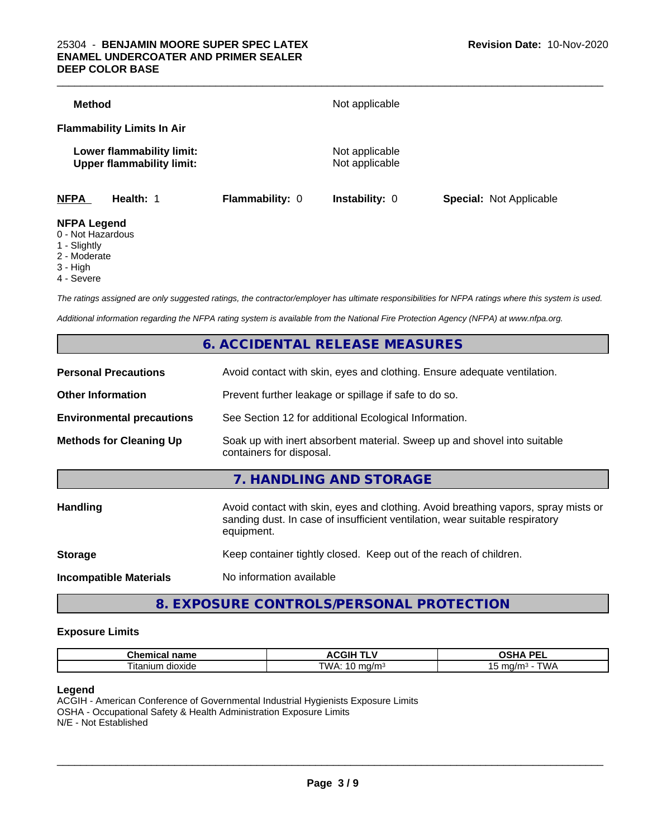#### $\_$  ,  $\_$  ,  $\_$  ,  $\_$  ,  $\_$  ,  $\_$  ,  $\_$  ,  $\_$  ,  $\_$  ,  $\_$  ,  $\_$  ,  $\_$  ,  $\_$  ,  $\_$  ,  $\_$  ,  $\_$  ,  $\_$  ,  $\_$  ,  $\_$  ,  $\_$  ,  $\_$  ,  $\_$  ,  $\_$  ,  $\_$  ,  $\_$  ,  $\_$  ,  $\_$  ,  $\_$  ,  $\_$  ,  $\_$  ,  $\_$  ,  $\_$  ,  $\_$  ,  $\_$  ,  $\_$  ,  $\_$  ,  $\_$  , 25304 - **BENJAMIN MOORE SUPER SPEC LATEX ENAMEL UNDERCOATER AND PRIMER SEALER DEEP COLOR BASE**

| <b>Method</b>                                                 |                        | Not applicable                   |                                |
|---------------------------------------------------------------|------------------------|----------------------------------|--------------------------------|
| <b>Flammability Limits In Air</b>                             |                        |                                  |                                |
| Lower flammability limit:<br><b>Upper flammability limit:</b> |                        | Not applicable<br>Not applicable |                                |
| <b>NFPA</b><br>Health: 1                                      | <b>Flammability: 0</b> | <b>Instability: 0</b>            | <b>Special: Not Applicable</b> |
| <b>NFPA Legend</b>                                            |                        |                                  |                                |

- 0 Not Hazardous
- 1 Slightly
- 2 Moderate
- 3 High
- 4 Severe

*The ratings assigned are only suggested ratings, the contractor/employer has ultimate responsibilities for NFPA ratings where this system is used.*

*Additional information regarding the NFPA rating system is available from the National Fire Protection Agency (NFPA) at www.nfpa.org.*

|                                  | 6. ACCIDENTAL RELEASE MEASURES                                                                                                                                                   |
|----------------------------------|----------------------------------------------------------------------------------------------------------------------------------------------------------------------------------|
| <b>Personal Precautions</b>      | Avoid contact with skin, eyes and clothing. Ensure adequate ventilation.                                                                                                         |
| <b>Other Information</b>         | Prevent further leakage or spillage if safe to do so.                                                                                                                            |
| <b>Environmental precautions</b> | See Section 12 for additional Ecological Information.                                                                                                                            |
| <b>Methods for Cleaning Up</b>   | Soak up with inert absorbent material. Sweep up and shovel into suitable<br>containers for disposal.                                                                             |
|                                  | 7. HANDLING AND STORAGE                                                                                                                                                          |
| <b>Handling</b>                  | Avoid contact with skin, eyes and clothing. Avoid breathing vapors, spray mists or<br>sanding dust. In case of insufficient ventilation, wear suitable respiratory<br>equipment. |
| <b>Storage</b>                   | Keep container tightly closed. Keep out of the reach of children.                                                                                                                |
| <b>Incompatible Materials</b>    | No information available                                                                                                                                                         |
|                                  |                                                                                                                                                                                  |

**8. EXPOSURE CONTROLS/PERSONAL PROTECTION**

#### **Exposure Limits**

| $\sim$ $\sim$ $\sim$ $\sim$<br>name<br>⊌ne<br>ernic<br>. | CGIH 1<br>$\sim$ | <b>DEI</b><br>n<br>$\mathbf{H}$<br>-- |
|----------------------------------------------------------|------------------|---------------------------------------|
| --                                                       | TWA              | $m \alpha/m$                          |
| dioxide                                                  | .ia/m            | . 107 L                               |
| ⊺ıtanıum                                                 | . .              | . .                                   |

#### **Legend**

ACGIH - American Conference of Governmental Industrial Hygienists Exposure Limits OSHA - Occupational Safety & Health Administration Exposure Limits N/E - Not Established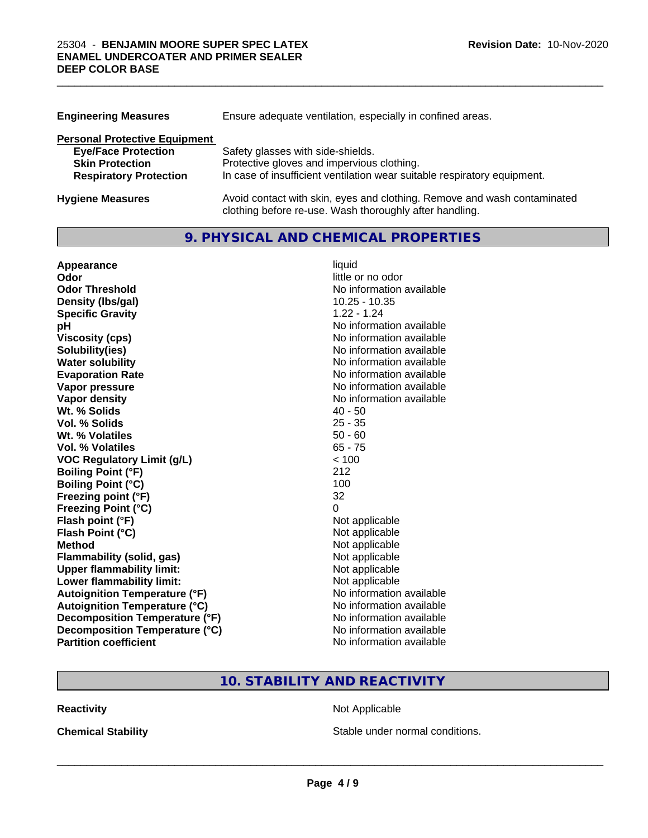| <b>Engineering Measures</b>          | Ensure adequate ventilation, especially in confined areas.                                                                          |
|--------------------------------------|-------------------------------------------------------------------------------------------------------------------------------------|
| <b>Personal Protective Equipment</b> |                                                                                                                                     |
| <b>Eye/Face Protection</b>           | Safety glasses with side-shields.                                                                                                   |
| <b>Skin Protection</b>               | Protective gloves and impervious clothing.                                                                                          |
| <b>Respiratory Protection</b>        | In case of insufficient ventilation wear suitable respiratory equipment.                                                            |
| <b>Hygiene Measures</b>              | Avoid contact with skin, eyes and clothing. Remove and wash contaminated<br>clothing before re-use. Wash thoroughly after handling. |

 $\_$  ,  $\_$  ,  $\_$  ,  $\_$  ,  $\_$  ,  $\_$  ,  $\_$  ,  $\_$  ,  $\_$  ,  $\_$  ,  $\_$  ,  $\_$  ,  $\_$  ,  $\_$  ,  $\_$  ,  $\_$  ,  $\_$  ,  $\_$  ,  $\_$  ,  $\_$  ,  $\_$  ,  $\_$  ,  $\_$  ,  $\_$  ,  $\_$  ,  $\_$  ,  $\_$  ,  $\_$  ,  $\_$  ,  $\_$  ,  $\_$  ,  $\_$  ,  $\_$  ,  $\_$  ,  $\_$  ,  $\_$  ,  $\_$  ,

# **9. PHYSICAL AND CHEMICAL PROPERTIES**

| Appearance                           | liquid                   |
|--------------------------------------|--------------------------|
| Odor                                 | little or no odor        |
| <b>Odor Threshold</b>                | No information available |
| Density (Ibs/gal)                    | $10.25 - 10.35$          |
| <b>Specific Gravity</b>              | $1.22 - 1.24$            |
| рH                                   | No information available |
| <b>Viscosity (cps)</b>               | No information available |
| Solubility(ies)                      | No information available |
| <b>Water solubility</b>              | No information available |
| <b>Evaporation Rate</b>              | No information available |
| Vapor pressure                       | No information available |
| Vapor density                        | No information available |
| Wt. % Solids                         | $40 - 50$                |
| <b>Vol. % Solids</b>                 | $25 - 35$                |
| Wt. % Volatiles                      | $50 - 60$                |
| <b>Vol. % Volatiles</b>              | $65 - 75$                |
| <b>VOC Regulatory Limit (g/L)</b>    | < 100                    |
| <b>Boiling Point (°F)</b>            | 212                      |
| <b>Boiling Point (°C)</b>            | 100                      |
| Freezing point (°F)                  | 32                       |
| <b>Freezing Point (°C)</b>           | 0                        |
| Flash point (°F)                     | Not applicable           |
| Flash Point (°C)                     | Not applicable           |
| <b>Method</b>                        | Not applicable           |
| <b>Flammability (solid, gas)</b>     | Not applicable           |
| <b>Upper flammability limit:</b>     | Not applicable           |
| Lower flammability limit:            | Not applicable           |
| <b>Autoignition Temperature (°F)</b> | No information available |
| <b>Autoignition Temperature (°C)</b> | No information available |
| Decomposition Temperature (°F)       | No information available |
| Decomposition Temperature (°C)       | No information available |
| <b>Partition coefficient</b>         | No information available |

# **10. STABILITY AND REACTIVITY**

**Reactivity Not Applicable** Not Applicable

**Chemical Stability Chemical Stability** Stable under normal conditions.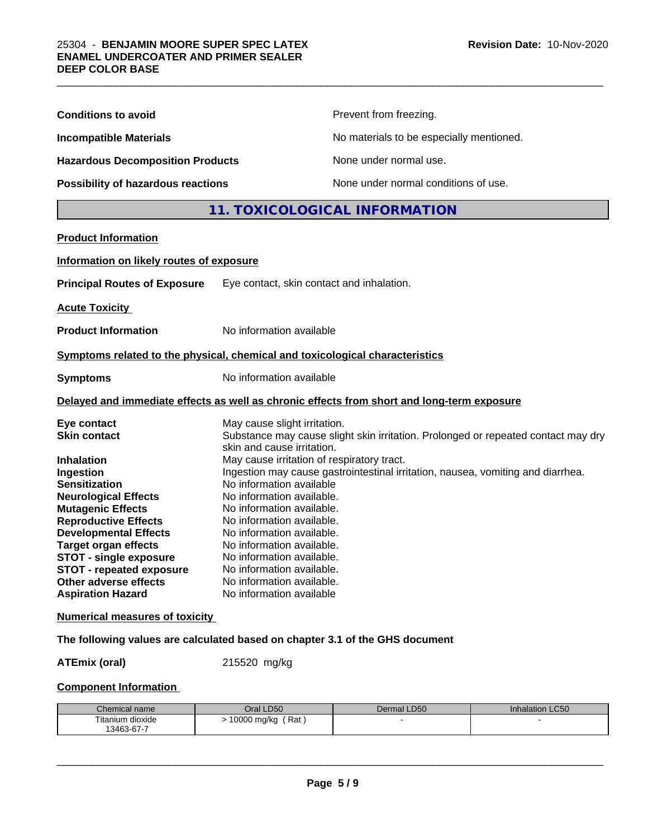| <b>Conditions to avoid</b>                                                                                                                                                                                                                                                                                                                                                     |                                                                                                                                                                                                                                                                                                                                                                                                          | Prevent from freezing.                                                                                                                                               |
|--------------------------------------------------------------------------------------------------------------------------------------------------------------------------------------------------------------------------------------------------------------------------------------------------------------------------------------------------------------------------------|----------------------------------------------------------------------------------------------------------------------------------------------------------------------------------------------------------------------------------------------------------------------------------------------------------------------------------------------------------------------------------------------------------|----------------------------------------------------------------------------------------------------------------------------------------------------------------------|
| <b>Incompatible Materials</b>                                                                                                                                                                                                                                                                                                                                                  |                                                                                                                                                                                                                                                                                                                                                                                                          | No materials to be especially mentioned.                                                                                                                             |
| <b>Hazardous Decomposition Products</b>                                                                                                                                                                                                                                                                                                                                        |                                                                                                                                                                                                                                                                                                                                                                                                          | None under normal use.                                                                                                                                               |
| Possibility of hazardous reactions                                                                                                                                                                                                                                                                                                                                             |                                                                                                                                                                                                                                                                                                                                                                                                          | None under normal conditions of use.                                                                                                                                 |
|                                                                                                                                                                                                                                                                                                                                                                                |                                                                                                                                                                                                                                                                                                                                                                                                          | <b>11. TOXICOLOGICAL INFORMATION</b>                                                                                                                                 |
| <b>Product Information</b>                                                                                                                                                                                                                                                                                                                                                     |                                                                                                                                                                                                                                                                                                                                                                                                          |                                                                                                                                                                      |
| Information on likely routes of exposure                                                                                                                                                                                                                                                                                                                                       |                                                                                                                                                                                                                                                                                                                                                                                                          |                                                                                                                                                                      |
| <b>Principal Routes of Exposure</b>                                                                                                                                                                                                                                                                                                                                            | Eye contact, skin contact and inhalation.                                                                                                                                                                                                                                                                                                                                                                |                                                                                                                                                                      |
| <b>Acute Toxicity</b>                                                                                                                                                                                                                                                                                                                                                          |                                                                                                                                                                                                                                                                                                                                                                                                          |                                                                                                                                                                      |
| <b>Product Information</b>                                                                                                                                                                                                                                                                                                                                                     | No information available                                                                                                                                                                                                                                                                                                                                                                                 |                                                                                                                                                                      |
| Symptoms related to the physical, chemical and toxicological characteristics                                                                                                                                                                                                                                                                                                   |                                                                                                                                                                                                                                                                                                                                                                                                          |                                                                                                                                                                      |
| <b>Symptoms</b>                                                                                                                                                                                                                                                                                                                                                                | No information available                                                                                                                                                                                                                                                                                                                                                                                 |                                                                                                                                                                      |
|                                                                                                                                                                                                                                                                                                                                                                                |                                                                                                                                                                                                                                                                                                                                                                                                          | Delayed and immediate effects as well as chronic effects from short and long-term exposure                                                                           |
| Eye contact<br><b>Skin contact</b><br><b>Inhalation</b><br>Ingestion<br><b>Sensitization</b><br><b>Neurological Effects</b><br><b>Mutagenic Effects</b><br><b>Reproductive Effects</b><br><b>Developmental Effects</b><br><b>Target organ effects</b><br><b>STOT - single exposure</b><br><b>STOT - repeated exposure</b><br>Other adverse effects<br><b>Aspiration Hazard</b> | May cause slight irritation.<br>skin and cause irritation.<br>May cause irritation of respiratory tract.<br>No information available<br>No information available.<br>No information available.<br>No information available.<br>No information available.<br>No information available.<br>No information available.<br>No information available.<br>No information available.<br>No information available | Substance may cause slight skin irritation. Prolonged or repeated contact may dry<br>Ingestion may cause gastrointestinal irritation, nausea, vomiting and diarrhea. |
| <b>Numerical measures of toxicity</b>                                                                                                                                                                                                                                                                                                                                          |                                                                                                                                                                                                                                                                                                                                                                                                          |                                                                                                                                                                      |
| The following values are calculated based on chapter 3.1 of the GHS document                                                                                                                                                                                                                                                                                                   |                                                                                                                                                                                                                                                                                                                                                                                                          |                                                                                                                                                                      |
| <b>ATEmix (oral)</b>                                                                                                                                                                                                                                                                                                                                                           | 215520 mg/kg                                                                                                                                                                                                                                                                                                                                                                                             |                                                                                                                                                                      |
| <b>Component Information</b>                                                                                                                                                                                                                                                                                                                                                   |                                                                                                                                                                                                                                                                                                                                                                                                          |                                                                                                                                                                      |
|                                                                                                                                                                                                                                                                                                                                                                                |                                                                                                                                                                                                                                                                                                                                                                                                          |                                                                                                                                                                      |

 $\_$  ,  $\_$  ,  $\_$  ,  $\_$  ,  $\_$  ,  $\_$  ,  $\_$  ,  $\_$  ,  $\_$  ,  $\_$  ,  $\_$  ,  $\_$  ,  $\_$  ,  $\_$  ,  $\_$  ,  $\_$  ,  $\_$  ,  $\_$  ,  $\_$  ,  $\_$  ,  $\_$  ,  $\_$  ,  $\_$  ,  $\_$  ,  $\_$  ,  $\_$  ,  $\_$  ,  $\_$  ,  $\_$  ,  $\_$  ,  $\_$  ,  $\_$  ,  $\_$  ,  $\_$  ,  $\_$  ,  $\_$  ,  $\_$  ,

| Chemical name    | Oral LD50          | Dermal LD50 | <b>Inhalation LC50</b> |
|------------------|--------------------|-------------|------------------------|
| Fitanium dioxide | 10000 mg/kg<br>Rat |             |                        |
| 13463-67-7       |                    |             |                        |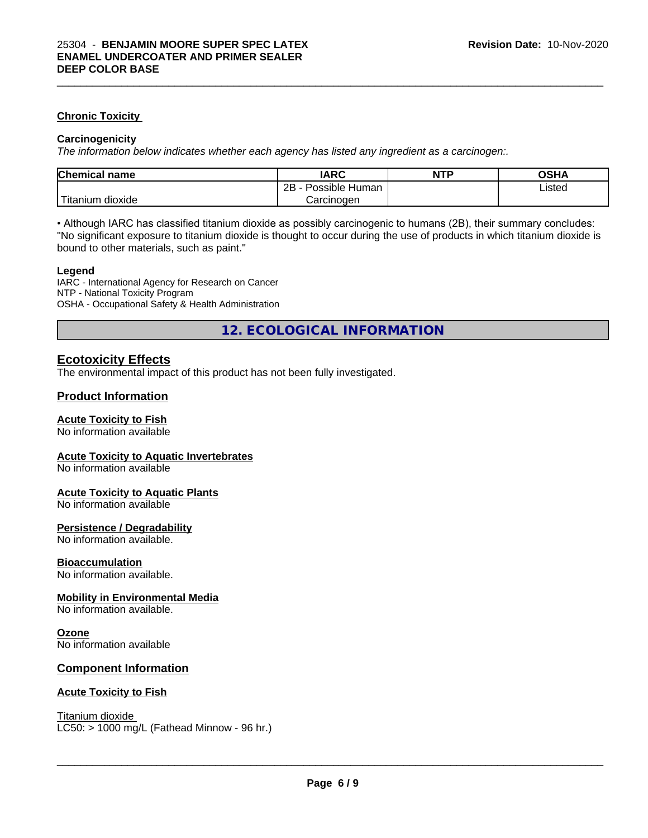## **Chronic Toxicity**

#### **Carcinogenicity**

*The information below indicateswhether each agency has listed any ingredient as a carcinogen:.*

| <b>Chemical name</b>        | <b>IARC</b>                 | <b>NTP</b> | <b>OSHA</b> |  |
|-----------------------------|-----------------------------|------------|-------------|--|
|                             | <br>2B<br>Human<br>Possible |            | Listed      |  |
| . dioxide<br><b>itanium</b> | Carcinogen                  |            |             |  |

• Although IARC has classified titanium dioxide as possibly carcinogenic to humans (2B), their summary concludes: "No significant exposure to titanium dioxide is thought to occur during the use of products in which titanium dioxide is bound to other materials, such as paint."

#### **Legend**

IARC - International Agency for Research on Cancer NTP - National Toxicity Program OSHA - Occupational Safety & Health Administration

**12. ECOLOGICAL INFORMATION**

# **Ecotoxicity Effects**

The environmental impact of this product has not been fully investigated.

### **Product Information**

#### **Acute Toxicity to Fish**

No information available

#### **Acute Toxicity to Aquatic Invertebrates**

No information available

#### **Acute Toxicity to Aquatic Plants**

No information available

#### **Persistence / Degradability**

No information available.

#### **Bioaccumulation**

No information available.

#### **Mobility in Environmental Media**

No information available.

# **Ozone**

No information available

#### **Component Information**

#### **Acute Toxicity to Fish**

Titanium dioxide  $LC50:$  > 1000 mg/L (Fathead Minnow - 96 hr.)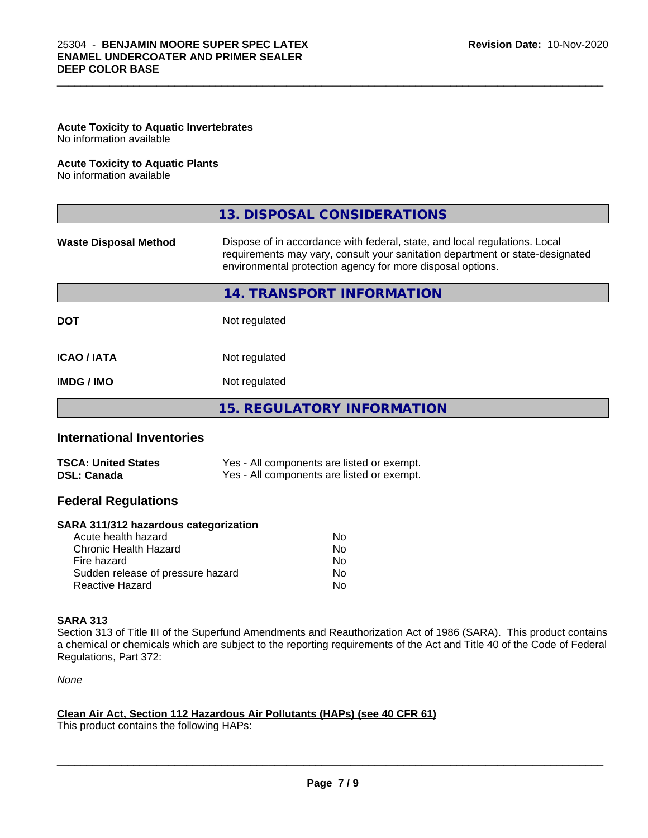#### **Acute Toxicity to Aquatic Invertebrates**

No information available

### **Acute Toxicity to Aquatic Plants**

No information available

|                              | 13. DISPOSAL CONSIDERATIONS                                                                                                                                                                                               |
|------------------------------|---------------------------------------------------------------------------------------------------------------------------------------------------------------------------------------------------------------------------|
| <b>Waste Disposal Method</b> | Dispose of in accordance with federal, state, and local regulations. Local<br>requirements may vary, consult your sanitation department or state-designated<br>environmental protection agency for more disposal options. |
|                              | 14. TRANSPORT INFORMATION                                                                                                                                                                                                 |
| <b>DOT</b>                   | Not regulated                                                                                                                                                                                                             |
| <b>ICAO/IATA</b>             | Not regulated                                                                                                                                                                                                             |
| <b>IMDG/IMO</b>              | Not regulated                                                                                                                                                                                                             |
|                              | 15. REGULATORY INFORMATION                                                                                                                                                                                                |

# **International Inventories**

| <b>TSCA: United States</b> | Yes - All components are listed or exempt. |
|----------------------------|--------------------------------------------|
| <b>DSL: Canada</b>         | Yes - All components are listed or exempt. |

# **Federal Regulations**

#### **SARA 311/312 hazardous categorization**

| Acute health hazard               | No. |
|-----------------------------------|-----|
| Chronic Health Hazard             | No. |
| Fire hazard                       | No. |
| Sudden release of pressure hazard | Nο  |
| Reactive Hazard                   | N٥  |

# **SARA 313**

Section 313 of Title III of the Superfund Amendments and Reauthorization Act of 1986 (SARA). This product contains a chemical or chemicals which are subject to the reporting requirements of the Act and Title 40 of the Code of Federal Regulations, Part 372:

*None*

#### **Clean Air Act,Section 112 Hazardous Air Pollutants (HAPs) (see 40 CFR 61)**

This product contains the following HAPs: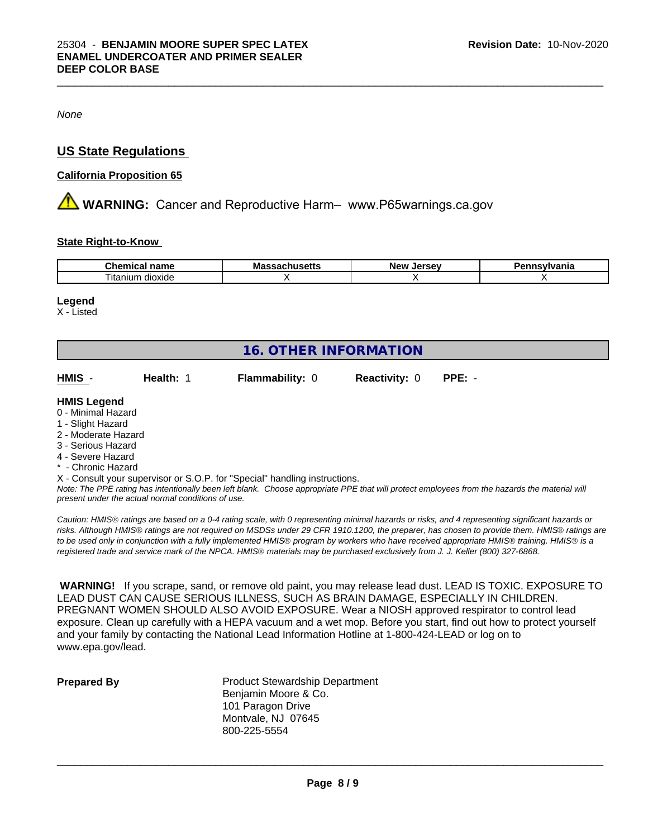*None*

# **US State Regulations**

# **California Proposition 65**

**A WARNING:** Cancer and Reproductive Harm– www.P65warnings.ca.gov

#### **State Right-to-Know**

| --<br>$- -$<br>name | M<br>мю<br>. | .NF |  |
|---------------------|--------------|-----|--|
| dioxide<br>⊺ıtanıum |              |     |  |

#### **Legend**

X - Listed

| HMIS -<br>Health: 1<br><b>HMIS Legend</b><br>0 - Minimal Hazard                                                                                                                         | <b>Flammability: 0</b><br><b>Reactivity: 0</b> | $PPE: -$ |
|-----------------------------------------------------------------------------------------------------------------------------------------------------------------------------------------|------------------------------------------------|----------|
|                                                                                                                                                                                         |                                                |          |
| 1 - Slight Hazard<br>2 - Moderate Hazard<br>3 - Serious Hazard<br>4 - Severe Hazard<br>* - Chronic Hazard<br>X - Consult your supervisor or S.O.P. for "Special" handling instructions. |                                                |          |

*Note: The PPE rating has intentionally been left blank. Choose appropriate PPE that will protect employees from the hazards the material will present under the actual normal conditions of use.*

*Caution: HMISÒ ratings are based on a 0-4 rating scale, with 0 representing minimal hazards or risks, and 4 representing significant hazards or risks. Although HMISÒ ratings are not required on MSDSs under 29 CFR 1910.1200, the preparer, has chosen to provide them. HMISÒ ratings are to be used only in conjunction with a fully implemented HMISÒ program by workers who have received appropriate HMISÒ training. HMISÒ is a registered trade and service mark of the NPCA. HMISÒ materials may be purchased exclusively from J. J. Keller (800) 327-6868.*

 **WARNING!** If you scrape, sand, or remove old paint, you may release lead dust. LEAD IS TOXIC. EXPOSURE TO LEAD DUST CAN CAUSE SERIOUS ILLNESS, SUCH AS BRAIN DAMAGE, ESPECIALLY IN CHILDREN. PREGNANT WOMEN SHOULD ALSO AVOID EXPOSURE. Wear a NIOSH approved respirator to control lead exposure. Clean up carefully with a HEPA vacuum and a wet mop. Before you start, find out how to protect yourself and your family by contacting the National Lead Information Hotline at 1-800-424-LEAD or log on to www.epa.gov/lead.

**Prepared By** Product Stewardship Department Benjamin Moore & Co. 101 Paragon Drive Montvale, NJ 07645 800-225-5554